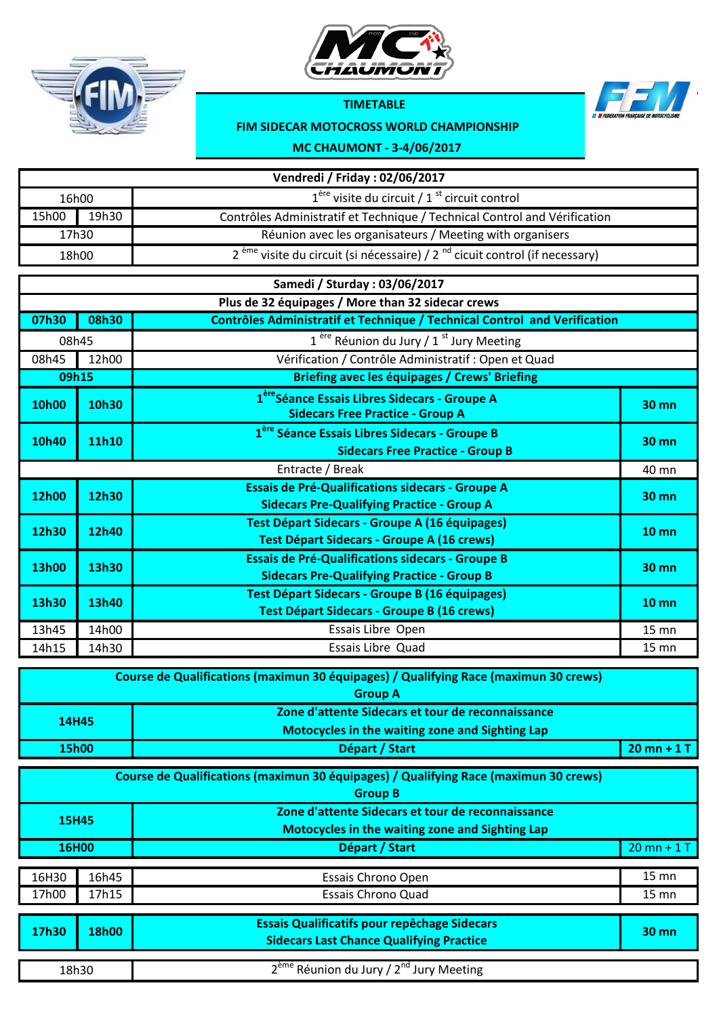



## **TIMETABLE**



## **FIM SIDECAR MOTOCROSS WORLD CHAMPIONSHIP**

**MC CHAUMONT - 3-4/06/2017**

| Vendredi / Friday: 02/06/2017 |       |                                                                                                              |                 |  |
|-------------------------------|-------|--------------------------------------------------------------------------------------------------------------|-----------------|--|
| 16h00                         |       | $1ère$ visite du circuit / 1 <sup>st</sup> circuit control                                                   |                 |  |
| 15h00                         | 19h30 | Contrôles Administratif et Technique / Technical Control and Vérification                                    |                 |  |
|                               | 17h30 | Réunion avec les organisateurs / Meeting with organisers                                                     |                 |  |
|                               | 18h00 | 2 <sup>ème</sup> visite du circuit (si nécessaire) / 2 <sup>nd</sup> cicuit control (if necessary)           |                 |  |
|                               |       | Samedi / Sturday: 03/06/2017                                                                                 |                 |  |
|                               |       | Plus de 32 équipages / More than 32 sidecar crews                                                            |                 |  |
| 07h30                         | 08h30 | Contrôles Administratif et Technique / Technical Control and Verification                                    |                 |  |
| 08h45                         |       | $1^{$ ère Réunion du Jury / $1^{st}$ Jury Meeting                                                            |                 |  |
| 08h45                         | 12h00 | Vérification / Contrôle Administratif : Open et Quad                                                         |                 |  |
| 09h15                         |       | <b>Briefing avec les équipages / Crews' Briefing</b>                                                         |                 |  |
| <b>10h00</b>                  | 10h30 | 1 <sup>ère</sup> Séance Essais Libres Sidecars - Groupe A<br><b>Sidecars Free Practice - Group A</b>         | 30 mn           |  |
| 10h40                         | 11h10 | 1 <sup>ère</sup> Séance Essais Libres Sidecars - Groupe B<br><b>Sidecars Free Practice - Group B</b>         | 30 mn           |  |
|                               |       | Entracte / Break                                                                                             | 40 mn           |  |
| <b>12h00</b>                  | 12h30 | <b>Essais de Pré-Qualifications sidecars - Groupe A</b><br><b>Sidecars Pre-Qualifying Practice - Group A</b> | $30$ mn         |  |
| 12h30                         | 12h40 | Test Départ Sidecars - Groupe A (16 équipages)<br><b>Test Départ Sidecars - Groupe A (16 crews)</b>          | $10 \text{ mm}$ |  |
| <b>13h00</b>                  | 13h30 | <b>Essais de Pré-Qualifications sidecars - Groupe B</b><br><b>Sidecars Pre-Qualifying Practice - Group B</b> | <b>30 mn</b>    |  |
| 13h30                         | 13h40 | <b>Test Départ Sidecars - Groupe B (16 équipages)</b><br><b>Test Départ Sidecars - Groupe B (16 crews)</b>   | $10 \text{ mm}$ |  |
| 13h45                         | 14h00 | Essais Libre Open                                                                                            | $15 \text{ mm}$ |  |
| 14h15                         | 14h30 | <b>Essais Libre Quad</b>                                                                                     | $15$ mn         |  |
|                               |       |                                                                                                              |                 |  |

|       | Course de Qualifications (maximun 30 équipages) / Qualifying Race (maximun 30 crews) |               |
|-------|--------------------------------------------------------------------------------------|---------------|
|       | <b>Group A</b>                                                                       |               |
|       | Zone d'attente Sidecars et tour de reconnaissance                                    |               |
| 14H45 | Motocycles in the waiting zone and Sighting Lap                                      |               |
| 15h00 | Départ / Start                                                                       | $20$ mn + 1 T |

| Course de Qualifications (maximun 30 équipages) / Qualifying Race (maximun 30 crews)<br><b>Group B</b> |                |                                                                                                             |                                    |  |  |
|--------------------------------------------------------------------------------------------------------|----------------|-------------------------------------------------------------------------------------------------------------|------------------------------------|--|--|
| <b>15H45</b>                                                                                           |                | Zone d'attente Sidecars et tour de reconnaissance<br><b>Motocycles in the waiting zone and Sighting Lap</b> |                                    |  |  |
| 16H00                                                                                                  |                | Départ / Start                                                                                              | $20$ mn + 1 T                      |  |  |
| 16H30<br>17h00                                                                                         | 16h45<br>17h15 | Essais Chrono Open<br><b>Essais Chrono Quad</b>                                                             | $15 \text{ mm}$<br>$15 \text{ mm}$ |  |  |
| 17h30                                                                                                  | <b>18h00</b>   | <b>Essais Qualificatifs pour repêchage Sidecars</b><br><b>Sidecars Last Chance Qualifying Practice</b>      | $30 \text{ mm}$                    |  |  |
| 18h30                                                                                                  |                | 2 <sup>ème</sup> Réunion du Jury / 2 <sup>nd</sup> Jury Meeting                                             |                                    |  |  |